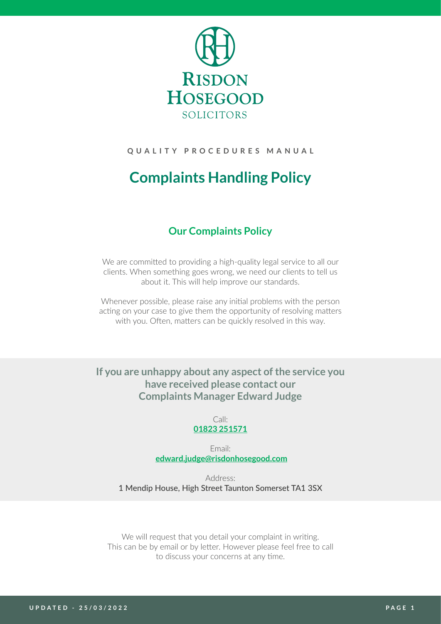

# **QUALITY PROCEDURES MANUAL**

# **Complaints Handling Policy**

# **Our Complaints Policy**

We are committed to providing a high-quality legal service to all our clients. When something goes wrong, we need our clients to tell us about it. This will help improve our standards.

Whenever possible, please raise any initial problems with the person acting on your case to give them the opportunity of resolving matters with you. Often, matters can be quickly resolved in this way.

**If you are unhappy about any aspect of the service you have received please contact our Complaints Manager Edward Judge**

> Call: **[01823 251571](tel:01823251571)**

Email: **[edward.judge@risdonhosegood.com](mailto:edward.judge%40risdonhosegood.com?subject=)**

Address: 1 Mendip House, High Street Taunton Somerset TA1 3SX

We will request that you detail your complaint in writing. This can be by email or by letter. However please feel free to call to discuss your concerns at any time.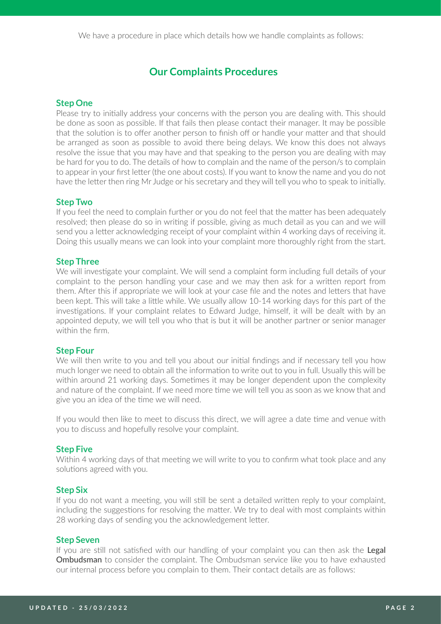# **Our Complaints Procedures**

## **Step One**

Please try to initially address your concerns with the person you are dealing with. This should be done as soon as possible. If that fails then please contact their manager. It may be possible that the solution is to offer another person to finish off or handle your matter and that should be arranged as soon as possible to avoid there being delays. We know this does not always resolve the issue that you may have and that speaking to the person you are dealing with may be hard for you to do. The details of how to complain and the name of the person/s to complain to appear in your first letter (the one about costs). If you want to know the name and you do not have the letter then ring Mr Judge or his secretary and they will tell you who to speak to initially.

### **Step Two**

If you feel the need to complain further or you do not feel that the matter has been adequately resolved; then please do so in writing if possible, giving as much detail as you can and we will send you a letter acknowledging receipt of your complaint within 4 working days of receiving it. Doing this usually means we can look into your complaint more thoroughly right from the start.

### **Step Three**

We will investigate your complaint. We will send a complaint form including full details of your complaint to the person handling your case and we may then ask for a written report from them. After this if appropriate we will look at your case file and the notes and letters that have been kept. This will take a little while. We usually allow 10-14 working days for this part of the investigations. If your complaint relates to Edward Judge, himself, it will be dealt with by an appointed deputy, we will tell you who that is but it will be another partner or senior manager within the firm.

#### **Step Four**

We will then write to you and tell you about our initial findings and if necessary tell you how much longer we need to obtain all the information to write out to you in full. Usually this will be within around 21 working days. Sometimes it may be longer dependent upon the complexity and nature of the complaint. If we need more time we will tell you as soon as we know that and give you an idea of the time we will need.

If you would then like to meet to discuss this direct, we will agree a date time and venue with you to discuss and hopefully resolve your complaint.

#### **Step Five**

Within 4 working days of that meeting we will write to you to confirm what took place and any solutions agreed with you.

#### **Step Six**

If you do not want a meeting, you will still be sent a detailed written reply to your complaint, including the suggestions for resolving the matter. We try to deal with most complaints within 28 working days of sending you the acknowledgement letter.

## **Step Seven**

If you are still not satisfied with our handling of your complaint you can then ask the Legal Ombudsman to consider the complaint. The Ombudsman service like you to have exhausted our internal process before you complain to them. Their contact details are as follows: